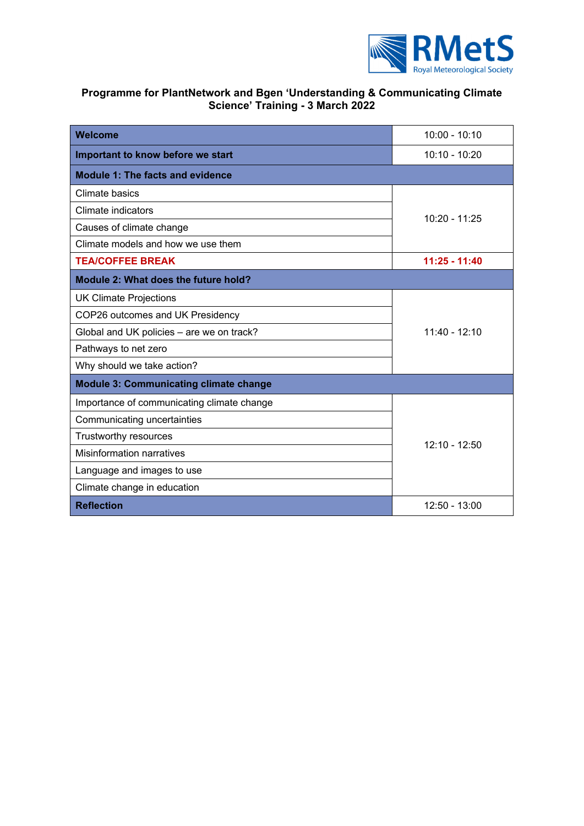

# **Programme for PlantNetwork and Bgen 'Understanding & Communicating Climate Science' Training - 3 March 2022**

| Welcome                                       | $10:00 - 10:10$ |
|-----------------------------------------------|-----------------|
| Important to know before we start             | $10:10 - 10:20$ |
| <b>Module 1: The facts and evidence</b>       |                 |
| Climate basics                                | $10:20 - 11:25$ |
| Climate indicators                            |                 |
| Causes of climate change                      |                 |
| Climate models and how we use them            |                 |
| <b>TEA/COFFEE BREAK</b>                       | $11:25 - 11:40$ |
| Module 2: What does the future hold?          |                 |
| <b>UK Climate Projections</b>                 | $11:40 - 12:10$ |
| COP26 outcomes and UK Presidency              |                 |
| Global and UK policies - are we on track?     |                 |
| Pathways to net zero                          |                 |
| Why should we take action?                    |                 |
| <b>Module 3: Communicating climate change</b> |                 |
| Importance of communicating climate change    | 12:10 - 12:50   |
| Communicating uncertainties                   |                 |
| Trustworthy resources                         |                 |
| <b>Misinformation narratives</b>              |                 |
| Language and images to use                    |                 |
| Climate change in education                   |                 |
| <b>Reflection</b>                             | $12:50 - 13:00$ |